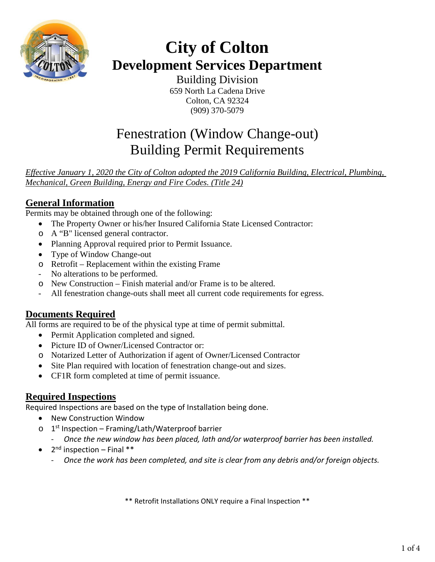

# **City of Colton Development Services Department**

Building Division 659 North La Cadena Drive Colton, CA 92324 (909) 370-5079

## Fenestration (Window Change-out) Building Permit Requirements

*Effective January 1, 2020 the City of Colton adopted the 2019 California Building, Electrical, Plumbing, Mechanical, Green Building, Energy and Fire Codes. (Title 24)*

### **General Information**

Permits may be obtained through one of the following:

- The Property Owner or his/her Insured California State Licensed Contractor:
- o A "B" licensed general contractor.
- Planning Approval required prior to Permit Issuance.
- Type of Window Change-out
- o Retrofit Replacement within the existing Frame
- No alterations to be performed.
- o New Construction Finish material and/or Frame is to be altered.
- All fenestration change-outs shall meet all current code requirements for egress.

### **Documents Required**

All forms are required to be of the physical type at time of permit submittal.

- Permit Application completed and signed.
- Picture ID of Owner/Licensed Contractor or:
- o Notarized Letter of Authorization if agent of Owner/Licensed Contractor
- Site Plan required with location of fenestration change-out and sizes.
- CF1R form completed at time of permit issuance.

### **Required Inspections**

Required Inspections are based on the type of Installation being done.

- New Construction Window
- $o$  1<sup>st</sup> Inspection Framing/Lath/Waterproof barrier
	- *Once the new window has been placed, lath and/or waterproof barrier has been installed.*
- $2<sup>nd</sup>$  inspection Final  $**$ 
	- *Once the work has been completed, and site is clear from any debris and/or foreign objects.*

\*\* Retrofit Installations ONLY require a Final Inspection \*\*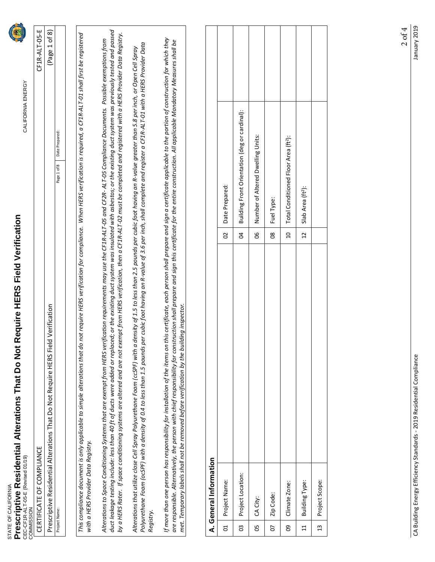|         | CEC-CF1R-ALT-05-E (Revised 01/19)<br><b>COMMISSION</b>                                                                                                                                                                                                                                                                                                                                                                                                                                                                                                                                |                | CALIFORNIA ENERGY                                                                                                           |
|---------|---------------------------------------------------------------------------------------------------------------------------------------------------------------------------------------------------------------------------------------------------------------------------------------------------------------------------------------------------------------------------------------------------------------------------------------------------------------------------------------------------------------------------------------------------------------------------------------|----------------|-----------------------------------------------------------------------------------------------------------------------------|
|         | CERTIFICATE OF COMPLIANCE                                                                                                                                                                                                                                                                                                                                                                                                                                                                                                                                                             |                | CF1R-ALT-05-E                                                                                                               |
|         | Prescriptive Residential Alterations That Do Not Require HERS Field Verification                                                                                                                                                                                                                                                                                                                                                                                                                                                                                                      |                | (Page 1 of 8)                                                                                                               |
|         | Project Name:                                                                                                                                                                                                                                                                                                                                                                                                                                                                                                                                                                         |                | Date Prepared:<br>Page 1 of 8                                                                                               |
|         | This compliance document is only applicable to simple alterations that do<br>with a HERS Provider Data Registry.                                                                                                                                                                                                                                                                                                                                                                                                                                                                      |                | not require HERS verification for compliance. When HERS verification is required, a CF1R-ALT-01 shall first be registered   |
|         | duct leakage testing include: less than 40 ft of ducts were added or replaced; or the existing duct system was may has bestos; or the existing duct system was previously tested and passed<br>by a HERS Rater. If space conditioning systems are altered and are not exempt from HERS verification, then a GE1R-ALT-02 must be completed and registered with a HERS Provider Data Registry.<br>Alterations to Space Conditioning Systems that are exempt from HERS verification requirements may use the CF1R-ALT-05 and CF2R- ALT-05 Compliance Documents. Possible exemptions from |                |                                                                                                                             |
|         | Polyurethane Foam (ocSPF) with a density of 0.4 to less than 1.5 pounds per cubic foot having an R-value of 3.6 per inch, shall complete and register a CF1R-ALT-01 with a HERS Provider Data<br>Alterations that utilize close Cell Spray Polyurethane Foam (ccSPF) with a density of 1.5 to less than 2.5 pounds per cubic foot having an R-value greater than 5.8 per inch, or Open Cell Spray<br>Registry.                                                                                                                                                                        |                |                                                                                                                             |
|         | are responsible. Alternatively, the person with chief responsibility for construction shall prepare and sign this certificate for the entire construction. All applicable Mandatory Measures shall be<br>met. Temporary labels shall not be removed before verification by the building inspector.<br>If more than one person has responsibility for installation of the items on                                                                                                                                                                                                     |                | this certificate, each person shall prepare and sign a certificate applicable to the portion of construction for which they |
|         |                                                                                                                                                                                                                                                                                                                                                                                                                                                                                                                                                                                       |                |                                                                                                                             |
| ∢       | General Information                                                                                                                                                                                                                                                                                                                                                                                                                                                                                                                                                                   |                |                                                                                                                             |
| $\Xi$   | Project Name:                                                                                                                                                                                                                                                                                                                                                                                                                                                                                                                                                                         | $\mathcal{O}$  | Date Prepared:                                                                                                              |
| $_{03}$ | Project Location:                                                                                                                                                                                                                                                                                                                                                                                                                                                                                                                                                                     | S              | Building Front Orientation (deg or cardinal):                                                                               |
| 50      | CA City:                                                                                                                                                                                                                                                                                                                                                                                                                                                                                                                                                                              | 8              | Number of Altered Dwelling Units:                                                                                           |
| 5       | Zip Code:                                                                                                                                                                                                                                                                                                                                                                                                                                                                                                                                                                             | $_{\rm 80}$    | Fuel Type:                                                                                                                  |
| පි      | Climate Zone:                                                                                                                                                                                                                                                                                                                                                                                                                                                                                                                                                                         | 5              | Total Conditioned Floor Area (ft <sup>2</sup> ):                                                                            |
| $\Xi$   | Building Type:                                                                                                                                                                                                                                                                                                                                                                                                                                                                                                                                                                        | $\overline{1}$ | Slab Area (ft <sup>2</sup> ):                                                                                               |
| 13      | Project Scope:                                                                                                                                                                                                                                                                                                                                                                                                                                                                                                                                                                        |                |                                                                                                                             |
|         |                                                                                                                                                                                                                                                                                                                                                                                                                                                                                                                                                                                       |                |                                                                                                                             |
|         |                                                                                                                                                                                                                                                                                                                                                                                                                                                                                                                                                                                       |                | $2$ of $4$                                                                                                                  |
|         | CA Building Energy Efficiency Standards - 2019 Residential Compliance                                                                                                                                                                                                                                                                                                                                                                                                                                                                                                                 |                | January 2019                                                                                                                |

 $\frac{2 \text{ of } 4}{2019}$ 

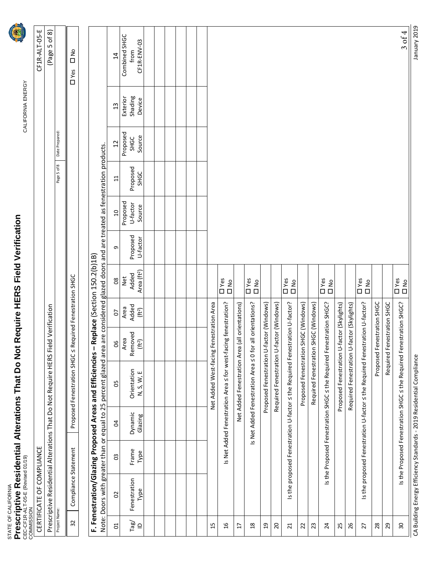| STATE OF CALIFORI | Prescriptive Residential Alterations That Do Not Require HERS Field Verificatio<br><b>Control to the control of the control of the control of the control of the control of the control of the control</b> |
|-------------------|------------------------------------------------------------------------------------------------------------------------------------------------------------------------------------------------------------|
|-------------------|------------------------------------------------------------------------------------------------------------------------------------------------------------------------------------------------------------|



| COMMISSION    | CEC-CF1R-ALT-05-E (Revised 01/19) |                                                                                            | CALIFORNIA ENERGY |               |
|---------------|-----------------------------------|--------------------------------------------------------------------------------------------|-------------------|---------------|
|               | CERTIFICATE OF COMPLIANCE         |                                                                                            |                   | CF1R-ALT-05-E |
|               |                                   | Prescriptive Residential Alterations That Do Not Require HERS Field Verification           |                   | (Page 5 of 8) |
| Project Name: |                                   | Page 5 of 8 Date Prepared:                                                                 |                   |               |
|               | 32   Compliance Statement         | Proposed Fenestration SHGC < Required Fenestration SHGC                                    | D Yes D No        |               |
|               |                                   |                                                                                            |                   |               |
|               |                                   | Replace (Section 150.2(b)1B<br>F. Fenestration/Glazing Proposed Areas and Efficiencies $-$ |                   |               |

|                     | F. Fenestration/Glazing Proposed Areas and Efficiencies - Replace (Section 150.2(b)1B                                                  |               |                    |                                                                             |                               |                              |                                                                            |                      |                    |                  |                |                   |                     |
|---------------------|----------------------------------------------------------------------------------------------------------------------------------------|---------------|--------------------|-----------------------------------------------------------------------------|-------------------------------|------------------------------|----------------------------------------------------------------------------|----------------------|--------------------|------------------|----------------|-------------------|---------------------|
|                     | Note: Doors with greater than or equal to 25 percent glazed area are considered glazed doors and are treated as fenestration products. |               |                    |                                                                             |                               |                              |                                                                            |                      |                    |                  |                |                   |                     |
| $\Xi$               | S                                                                                                                                      | 3             | S,                 | 50                                                                          | 8                             | <b>PD</b>                    | $_{\rm 8}$                                                                 | G                    | $\overline{a}$     | 11               | 12             | 13                | $\overline{1}$      |
|                     |                                                                                                                                        |               |                    |                                                                             | Area                          | Area                         | Net                                                                        |                      | Proposed           |                  | Proposed       | Exterior          | Combined SHGC       |
| Tag/<br>$\supseteq$ | Fenestration<br>Type                                                                                                                   | Frame<br>Type | Dynamic<br>Glazing | Orientation<br>N, S, W, E                                                   | Removed<br>(ft <sup>2</sup> ) | Added<br>(f t <sup>2</sup> ) | Area (ft <sup>2</sup> )<br>Added                                           | Proposed<br>U-factor | U-factor<br>Source | Proposed<br>SHGC | Source<br>SHGC | Shading<br>Device | CF1R-ENV-03<br>from |
|                     |                                                                                                                                        |               |                    |                                                                             |                               |                              |                                                                            |                      |                    |                  |                |                   |                     |
|                     |                                                                                                                                        |               |                    |                                                                             |                               |                              |                                                                            |                      |                    |                  |                |                   |                     |
|                     |                                                                                                                                        |               |                    |                                                                             |                               |                              |                                                                            |                      |                    |                  |                |                   |                     |
|                     |                                                                                                                                        |               |                    |                                                                             |                               |                              |                                                                            |                      |                    |                  |                |                   |                     |
|                     |                                                                                                                                        |               |                    |                                                                             |                               |                              |                                                                            |                      |                    |                  |                |                   |                     |
|                     |                                                                                                                                        |               |                    |                                                                             |                               |                              |                                                                            |                      |                    |                  |                |                   |                     |
| 15                  |                                                                                                                                        |               |                    | Net Added West-facing Fenestration Area                                     |                               |                              |                                                                            |                      |                    |                  |                |                   |                     |
| 16                  |                                                                                                                                        |               |                    | Is Net Added Fenestration Area < for west-facin                             |                               | g fenestration?              | D Yes<br>O No                                                              |                      |                    |                  |                |                   |                     |
| $\overline{1}$      |                                                                                                                                        |               |                    | Net Added Fenestration Area (all orientations)                              |                               |                              |                                                                            |                      |                    |                  |                |                   |                     |
| $^{28}$             |                                                                                                                                        |               |                    | Is Net Added Fenestration Area ≤ 0 for all orientations?                    |                               |                              | D Yes<br>O No                                                              |                      |                    |                  |                |                   |                     |
| $\overline{a}$      |                                                                                                                                        |               |                    | Proposed Fenestration U-factor (Windows)                                    |                               |                              |                                                                            |                      |                    |                  |                |                   |                     |
| $\overline{c}$      |                                                                                                                                        |               |                    | Required Fenestration U-factor (Windows)                                    |                               |                              |                                                                            |                      |                    |                  |                |                   |                     |
| $\overline{21}$     |                                                                                                                                        |               |                    | Is the proposed Fenestration U-factor < the Required Fenestration U-factor? |                               |                              | D Yes<br>O No                                                              |                      |                    |                  |                |                   |                     |
| 22                  |                                                                                                                                        |               |                    | Proposed Fenestration SHGC (Windows)                                        |                               |                              |                                                                            |                      |                    |                  |                |                   |                     |
| 23                  |                                                                                                                                        |               |                    | Required Fenestration SHGC (Windows)                                        |                               |                              |                                                                            |                      |                    |                  |                |                   |                     |
| 24                  |                                                                                                                                        |               |                    | Is the Proposed Fenestration SHGC < the Required Fenestration SHGC?         |                               |                              | $\begin{array}{c}\n\Box \vee \text{es} \\ \Box \vee \text{O}\n\end{array}$ |                      |                    |                  |                |                   |                     |
| 25                  |                                                                                                                                        |               |                    | Proposed Fenestration U-factor (Skylights)                                  |                               |                              |                                                                            |                      |                    |                  |                |                   |                     |
| 26                  |                                                                                                                                        |               |                    | Required Fenestration U-factor (Skylights)                                  |                               |                              |                                                                            |                      |                    |                  |                |                   |                     |
| 27                  |                                                                                                                                        |               |                    | Is the proposed Fenestration U-factor < the Required Fenestration U-factor? |                               |                              | D Yes<br>O No                                                              |                      |                    |                  |                |                   |                     |
| $28$                |                                                                                                                                        |               |                    |                                                                             | Proposed Fenestration SHGC    |                              |                                                                            |                      |                    |                  |                |                   |                     |
| 29                  |                                                                                                                                        |               |                    |                                                                             | Required Fenestration SHGC    |                              |                                                                            |                      |                    |                  |                |                   |                     |
| 30                  |                                                                                                                                        |               |                    | Is the Proposed Fenestration SHGC < the Required Fenestration SHGC?         |                               |                              | D Yes<br>O No                                                              |                      |                    |                  |                |                   | $3$ of $4$          |
|                     | CA Building Energy Efficiency Standards - 2019 Residential Compliance                                                                  |               |                    |                                                                             |                               |                              |                                                                            |                      |                    |                  |                |                   | January 2019        |